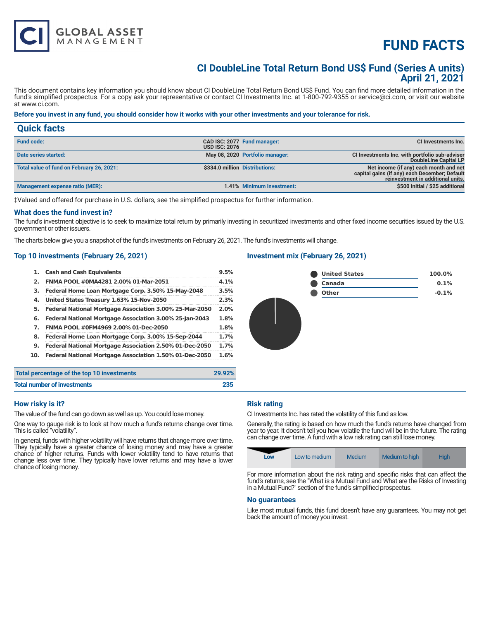# **FUND FACTS**

### **CI DoubleLine Total Return Bond US\$ Fund (Series A units) April 21, 2021**

This document contains key information you should know about CI DoubleLine Total Return Bond US\$ Fund. You can find more detailed information in the fund's simplified prospectus. For a copy ask your representative or contact CI Investments Inc. at 1-800-792-9355 or service@ci.com, or visit our website at www.ci.com.

#### **Before you invest in any fund, you should consider how it works with your other investments and your tolerance for risk.**

| <b>Quick facts</b>                        |                      |                                 |                                                                                                                              |
|-------------------------------------------|----------------------|---------------------------------|------------------------------------------------------------------------------------------------------------------------------|
| <b>Fund code:</b>                         | <b>USD ISC: 2076</b> | CAD ISC: 2077 Fund manager:     | <b>CI Investments Inc.</b>                                                                                                   |
| Date series started:                      |                      | May 08, 2020 Portfolio manager: | CI Investments Inc. with portfolio sub-adviser<br>DoubleLine Capital LP                                                      |
| Total value of fund on February 26, 2021: |                      | \$334.0 million Distributions:  | Net income (if any) each month and net<br>capital gains (if any) each December; Default<br>reinvestment in additional units. |
| Management expense ratio (MER):           |                      | 1.41% Minimum investment:       | \$500 initial / \$25 additional                                                                                              |

‡Valued and offered for purchase in U.S. dollars, see the simplified prospectus for further information.

#### **What does the fund invest in?**

The fund's investment objective is to seek to maximize total return by primarily investing in securitized investments and other fixed income securities issued by the U.S. government or other issuers.

The charts below give you a snapshot of the fund's investments on February 26, 2021. The fund's investments will change.

#### **Top 10 investments (February 26, 2021)**

**GLOBAL ASSET**<br>MANAGEMENT

| 1.  | <b>Cash and Cash Equivalents</b>                        | 9.5%   |
|-----|---------------------------------------------------------|--------|
| 2.  | FNMA POOL #0MA4281 2.00% 01-Mar-2051                    | 4.1%   |
| з.  | Federal Home Loan Mortgage Corp. 3.50% 15-May-2048      | 3.5%   |
| 4.  | United States Treasury 1.63% 15-Nov-2050                | 2.3%   |
| 5.  | Federal National Mortgage Association 3.00% 25-Mar-2050 | 2.0%   |
| 6.  | Federal National Mortgage Association 3.00% 25-Jan-2043 | 1.8%   |
| 7.  | FNMA POOL #0FM4969 2.00% 01-Dec-2050                    | 1.8%   |
| 8.  | Federal Home Loan Mortgage Corp. 3.00% 15-Sep-2044      | 1.7%   |
| 9.  | Federal National Mortgage Association 2.50% 01-Dec-2050 | 1.7%   |
| 10. | Federal National Mortgage Association 1.50% 01-Dec-2050 | 1.6%   |
|     | percentage of the top 10 investments                    | 29.92% |

#### **Investment mix (February 26, 2021)**



| Total percentage of the top 10 investments | 29.92% |
|--------------------------------------------|--------|
| <b>Total number of investments</b>         | 235    |

#### **How risky is it?**

The value of the fund can go down as well as up. You could lose money.

One way to gauge risk is to look at how much a fund's returns change over time. This is called "volatility".

In general, funds with higher volatility will have returns that change more over time. They typically have a greater chance of losing money and may have a greater chance of higher returns. Funds with lower volatility tend to have returns that change less over time. They typically have lower returns and may have a lower chance of losing money.

#### **Risk rating**

CI Investments Inc. has rated the volatility of this fund as low.

Generally, the rating is based on how much the fund's returns have changed from year to year. It doesn't tell you how volatile the fund will be in the future. The rating can change over time. A fund with a low risk rating can still lose money.

| Medium to high<br><b>High</b><br>Medium<br>Low to medium<br>Low |  |
|-----------------------------------------------------------------|--|
|-----------------------------------------------------------------|--|

For more information about the risk rating and specific risks that can affect the fund's returns, see the "What is a Mutual Fund and What are the Risks of Investing in a Mutual Fund?" section of the fund's simplified prospectus.

#### **No guarantees**

Like most mutual funds, this fund doesn't have any guarantees. You may not get back the amount of money you invest.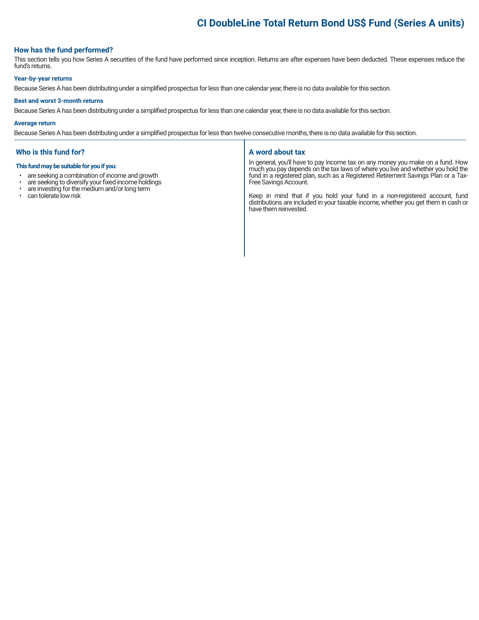## **CI DoubleLine Total Return Bond US\$ Fund (Series A units)**

#### **How has the fund performed?**

This section tells you how Series A securities of the fund have performed since inception. Returns are after expenses have been deducted. These expenses reduce the fund's returns.

#### **Year-by-year returns**

Because Series A has been distributing under a simplified prospectus for less than one calendar year, there is no data available for this section.

#### **Best and worst 3-month returns**

Because Series A has been distributing under a simplified prospectus for less than one calendar year, there is no data available for this section.

#### **Average return**

Because Series A has been distributing under a simplified prospectus for less than twelve consecutive months, there is no data available for this section.

#### **Who is this fund for?**

#### **This fund may be suitable for you if you:**

- are seeking a combination of income and growth<br>• are seeking to diversify your fixed income holdings
- are seeking to diversify your fixed income holdings<br>• are investing for the medium and/or long term
- are investing for the medium and/or long term
- can tolerate low risk

#### **A word about tax**

In general, you'll have to pay income tax on any money you make on a fund. How much you pay depends on the tax laws of where you live and whether you hold the fund in a registered plan, such as a Registered Retirement Savings Plan or a Tax-Free Savings Account.

Keep in mind that if you hold your fund in a non-registered account, fund distributions are included in your taxable income, whether you get them in cash or have them reinvested.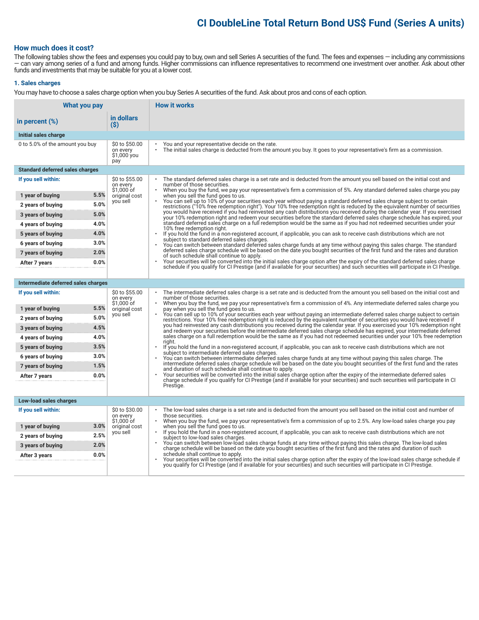### **CI DoubleLine Total Return Bond US\$ Fund (Series A units)**

#### **How much does it cost?**

The following tables show the fees and expenses you could pay to buy, own and sell Series A securities of the fund. The fees and expenses — including any commissions — can vary among series of a fund and among funds. Higher commissions can influence representatives to recommend one investment over another. Ask about other funds and investments that may be suitable for you at a lower cost.

#### **1. Sales charges**

You may have to choose a sales charge option when you buy Series A securities of the fund. Ask about pros and cons of each option.

| in dollars<br>in percent $(\%)$<br>$($ \$)<br>Initial sales charge                                                                                                                                                                                                                                                                                        |  |
|-----------------------------------------------------------------------------------------------------------------------------------------------------------------------------------------------------------------------------------------------------------------------------------------------------------------------------------------------------------|--|
|                                                                                                                                                                                                                                                                                                                                                           |  |
|                                                                                                                                                                                                                                                                                                                                                           |  |
| 0 to 5.0% of the amount you buy<br>\$0 to \$50.00<br>You and your representative decide on the rate.<br>The initial sales charge is deducted from the amount you buy. It goes to your representative's firm as a commission.<br>on every<br>\$1,000 you<br>pay                                                                                            |  |
| <b>Standard deferred sales charges</b>                                                                                                                                                                                                                                                                                                                    |  |
| \$0 to \$55.00<br>The standard deferred sales charge is a set rate and is deducted from the amount you sell based on the initial cost and<br>If you sell within:<br>on every<br>number of those securities.<br>\$1,000 of<br>When you buy the fund, we pay your representative's firm a commission of 5%. Any standard deferred sales charge you pay      |  |
| 5.5%<br>original cost<br>when you sell the fund goes to us.<br>1 year of buying                                                                                                                                                                                                                                                                           |  |
| You can sell up to 10% of your securities each year without paying a standard deferred sales charge subject to certain<br>you sell<br>5.0%<br>2 years of buying<br>restrictions ("10% free redemption right"). Your 10% free redemption right is reduced by the equivalent number of securities                                                           |  |
| you would have received if you had reinvested any cash distributions you received during the calendar year. If you exercised<br>5.0%<br>3 years of buying<br>your 10% redemption right and redeem your securities before the standard deferred sales charge schedule has expired, your                                                                    |  |
| standard deferred sales charge on a full redemption would be the same as if you had not redeemed securities under your<br>4.0%<br>4 years of buying<br>10% free redemption right.                                                                                                                                                                         |  |
| 4.0%<br>5 years of buying<br>$\bullet$<br>If you hold the fund in a non-registered account, if applicable, you can ask to receive cash distributions which are not<br>subject to standard deferred sales charges.                                                                                                                                         |  |
| 3.0%<br>6 years of buying<br>You can switch between standard deferred sales charge funds at any time without paving this sales charge. The standard                                                                                                                                                                                                       |  |
| deferred sales charge schedule will be based on the date you bought securities of the first fund and the rates and duration<br>2.0%<br>7 years of buying<br>of such schedule shall continue to apply.                                                                                                                                                     |  |
| Your securities will be converted into the initial sales charge option after the expiry of the standard deferred sales charge<br>0.0%<br>After 7 years<br>schedule if you qualify for CI Prestige (and if available for your securities) and such securities will participate in CI Prestige.                                                             |  |
|                                                                                                                                                                                                                                                                                                                                                           |  |
| Intermediate deferred sales charges                                                                                                                                                                                                                                                                                                                       |  |
| \$0 to \$55.00<br>If you sell within:<br>The intermediate deferred sales charge is a set rate and is deducted from the amount you sell based on the initial cost and<br>on every<br>number of those securities.<br>$$1,000$ of<br>When you buy the fund, we pay your representative's firm a commission of 4%. Any intermediate deferred sales charge you |  |
| 5.5%<br>1 year of buying<br>pay when you sell the fund goes to us.<br>original cost                                                                                                                                                                                                                                                                       |  |
| You can sell up to 10% of your securities each year without paying an intermediate deferred sales charge subject to certain<br>you sell<br>5.0%<br>2 years of buying<br>restrictions. Your 10% free redemption right is reduced by the equivalent number of securities you would have received if                                                         |  |
| you had reinvested any cash distributions you received during the calendar year. If you exercised your 10% redemption right<br>4.5%<br>3 years of buying<br>and redeem your securities before the intermediate deferred sales charge schedule has expired, your intermediate deferred                                                                     |  |
| sales charge on a full redemption would be the same as if you had not redeemed securities under your 10% free redemption<br>4.0%<br>4 years of buying<br>right.                                                                                                                                                                                           |  |
| 3.5%<br>5 years of buying<br>If you hold the fund in a non-registered account, if applicable, you can ask to receive cash distributions which are not<br>$\bullet$<br>subject to intermediate deferred sales charges.                                                                                                                                     |  |
| 3.0%<br>6 years of buying<br>You can switch between intermediate deferred sales charge funds at any time without paying this sales charge. The                                                                                                                                                                                                            |  |
| intermediate deferred sales charge schedule will be based on the date you bought securities of the first fund and the rates<br>1.5%<br>7 years of buying<br>and duration of such schedule shall continue to apply.                                                                                                                                        |  |
| Your securities will be converted into the initial sales charge option after the expiry of the intermediate deferred sales<br>0.0%<br>After 7 years<br>charge schedule if you qualify for CI Prestige (and if available for your securities) and such securities will participate in CI                                                                   |  |
| Prestige.                                                                                                                                                                                                                                                                                                                                                 |  |
| Low-load sales charges                                                                                                                                                                                                                                                                                                                                    |  |
| \$0 to \$30.00<br>If you sell within:<br>The low-load sales charge is a set rate and is deducted from the amount you sell based on the initial cost and number of                                                                                                                                                                                         |  |
| on every<br>those securities.<br>\$1.000 of<br>When you buy the fund, we pay your representative's firm a commission of up to 2.5%. Any low-load sales charge you pay<br>$\bullet$                                                                                                                                                                        |  |
| 3.0%<br>when you sell the fund goes to us.<br>1 year of buying<br>original cost<br>If you hold the fund in a non-registered account, if applicable, you can ask to receive cash distributions which are not<br>you sell                                                                                                                                   |  |
| 2.5%<br>2 years of buying<br>subject to low-load sales charges.                                                                                                                                                                                                                                                                                           |  |
| You can switch between low-load sales charge funds at any time without paying this sales charge. The low-load sales<br>2.0%<br>3 years of buying<br>charge schedule will be based on the date you bought securities of the first fund and the rates and duration of such                                                                                  |  |
| schedule shall continue to apply.<br>0.0%<br>After 3 years<br>Your securities will be converted into the initial sales charge option after the expiry of the low-load sales charge schedule if                                                                                                                                                            |  |
| you qualify for CI Prestige (and if available for your securities) and such securities will participate in CI Prestige.                                                                                                                                                                                                                                   |  |